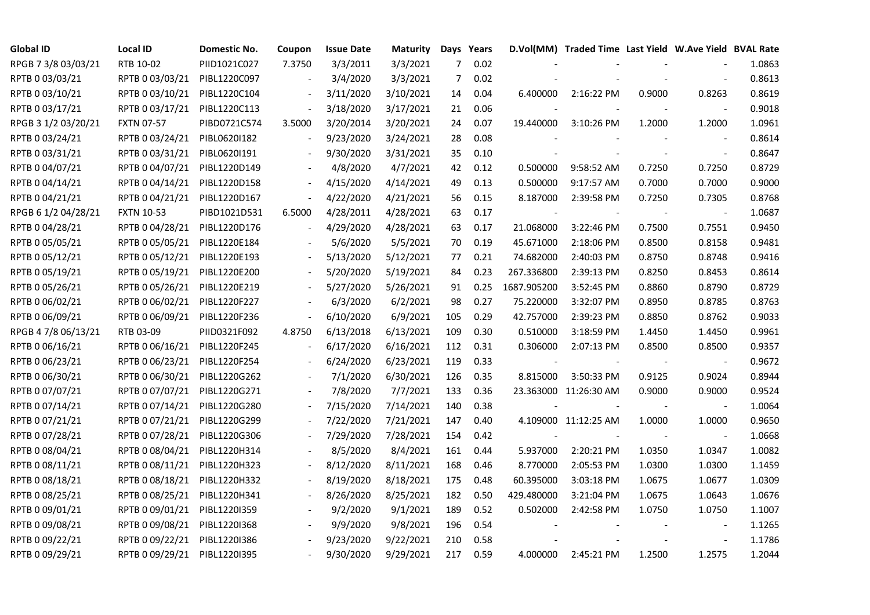| <b>Global ID</b>    | <b>Local ID</b>   | Domestic No. | Coupon                   | <b>Issue Date</b> | <b>Maturity</b> |                | Days Years |             | D.Vol(MM) Traded Time Last Yield W.Ave Yield BVAL Rate |        |                |        |
|---------------------|-------------------|--------------|--------------------------|-------------------|-----------------|----------------|------------|-------------|--------------------------------------------------------|--------|----------------|--------|
| RPGB 7 3/8 03/03/21 | RTB 10-02         | PIID1021C027 | 7.3750                   | 3/3/2011          | 3/3/2021        | $\overline{7}$ | 0.02       |             |                                                        |        |                | 1.0863 |
| RPTB 0 03/03/21     | RPTB 0 03/03/21   | PIBL1220C097 |                          | 3/4/2020          | 3/3/2021        | 7              | 0.02       |             |                                                        |        |                | 0.8613 |
| RPTB 0 03/10/21     | RPTB 0 03/10/21   | PIBL1220C104 |                          | 3/11/2020         | 3/10/2021       | 14             | 0.04       | 6.400000    | 2:16:22 PM                                             | 0.9000 | 0.8263         | 0.8619 |
| RPTB 0 03/17/21     | RPTB 0 03/17/21   | PIBL1220C113 | $\overline{\phantom{a}}$ | 3/18/2020         | 3/17/2021       | 21             | 0.06       |             |                                                        |        |                | 0.9018 |
| RPGB 3 1/2 03/20/21 | <b>FXTN 07-57</b> | PIBD0721C574 | 3.5000                   | 3/20/2014         | 3/20/2021       | 24             | 0.07       | 19.440000   | 3:10:26 PM                                             | 1.2000 | 1.2000         | 1.0961 |
| RPTB 0 03/24/21     | RPTB 0 03/24/21   | PIBL0620I182 |                          | 9/23/2020         | 3/24/2021       | 28             | 0.08       |             |                                                        |        | $\blacksquare$ | 0.8614 |
| RPTB 0 03/31/21     | RPTB 0 03/31/21   | PIBL0620I191 |                          | 9/30/2020         | 3/31/2021       | 35             | 0.10       |             |                                                        |        |                | 0.8647 |
| RPTB 0 04/07/21     | RPTB 0 04/07/21   | PIBL1220D149 |                          | 4/8/2020          | 4/7/2021        | 42             | 0.12       | 0.500000    | 9:58:52 AM                                             | 0.7250 | 0.7250         | 0.8729 |
| RPTB 0 04/14/21     | RPTB 0 04/14/21   | PIBL1220D158 |                          | 4/15/2020         | 4/14/2021       | 49             | 0.13       | 0.500000    | 9:17:57 AM                                             | 0.7000 | 0.7000         | 0.9000 |
| RPTB 0 04/21/21     | RPTB 0 04/21/21   | PIBL1220D167 | $\overline{\phantom{a}}$ | 4/22/2020         | 4/21/2021       | 56             | 0.15       | 8.187000    | 2:39:58 PM                                             | 0.7250 | 0.7305         | 0.8768 |
| RPGB 6 1/2 04/28/21 | <b>FXTN 10-53</b> | PIBD1021D531 | 6.5000                   | 4/28/2011         | 4/28/2021       | 63             | 0.17       |             |                                                        |        | $\blacksquare$ | 1.0687 |
| RPTB 0 04/28/21     | RPTB 0 04/28/21   | PIBL1220D176 | $\overline{\phantom{a}}$ | 4/29/2020         | 4/28/2021       | 63             | 0.17       | 21.068000   | 3:22:46 PM                                             | 0.7500 | 0.7551         | 0.9450 |
| RPTB 0 05/05/21     | RPTB 0 05/05/21   | PIBL1220E184 |                          | 5/6/2020          | 5/5/2021        | 70             | 0.19       | 45.671000   | 2:18:06 PM                                             | 0.8500 | 0.8158         | 0.9481 |
| RPTB 0 05/12/21     | RPTB 0 05/12/21   | PIBL1220E193 |                          | 5/13/2020         | 5/12/2021       | 77             | 0.21       | 74.682000   | 2:40:03 PM                                             | 0.8750 | 0.8748         | 0.9416 |
| RPTB 0 05/19/21     | RPTB 0 05/19/21   | PIBL1220E200 |                          | 5/20/2020         | 5/19/2021       | 84             | 0.23       | 267.336800  | 2:39:13 PM                                             | 0.8250 | 0.8453         | 0.8614 |
| RPTB 0 05/26/21     | RPTB 0 05/26/21   | PIBL1220E219 |                          | 5/27/2020         | 5/26/2021       | 91             | 0.25       | 1687.905200 | 3:52:45 PM                                             | 0.8860 | 0.8790         | 0.8729 |
| RPTB 0 06/02/21     | RPTB 0 06/02/21   | PIBL1220F227 |                          | 6/3/2020          | 6/2/2021        | 98             | 0.27       | 75.220000   | 3:32:07 PM                                             | 0.8950 | 0.8785         | 0.8763 |
| RPTB 0 06/09/21     | RPTB 0 06/09/21   | PIBL1220F236 | $\blacksquare$           | 6/10/2020         | 6/9/2021        | 105            | 0.29       | 42.757000   | 2:39:23 PM                                             | 0.8850 | 0.8762         | 0.9033 |
| RPGB 4 7/8 06/13/21 | RTB 03-09         | PIID0321F092 | 4.8750                   | 6/13/2018         | 6/13/2021       | 109            | 0.30       | 0.510000    | 3:18:59 PM                                             | 1.4450 | 1.4450         | 0.9961 |
| RPTB 0 06/16/21     | RPTB 0 06/16/21   | PIBL1220F245 |                          | 6/17/2020         | 6/16/2021       | 112            | 0.31       | 0.306000    | 2:07:13 PM                                             | 0.8500 | 0.8500         | 0.9357 |
| RPTB 0 06/23/21     | RPTB 0 06/23/21   | PIBL1220F254 |                          | 6/24/2020         | 6/23/2021       | 119            | 0.33       |             |                                                        |        | $\blacksquare$ | 0.9672 |
| RPTB 0 06/30/21     | RPTB 0 06/30/21   | PIBL1220G262 |                          | 7/1/2020          | 6/30/2021       | 126            | 0.35       | 8.815000    | 3:50:33 PM                                             | 0.9125 | 0.9024         | 0.8944 |
| RPTB 0 07/07/21     | RPTB 0 07/07/21   | PIBL1220G271 |                          | 7/8/2020          | 7/7/2021        | 133            | 0.36       |             | 23.363000 11:26:30 AM                                  | 0.9000 | 0.9000         | 0.9524 |
| RPTB 0 07/14/21     | RPTB 0 07/14/21   | PIBL1220G280 |                          | 7/15/2020         | 7/14/2021       | 140            | 0.38       |             |                                                        |        |                | 1.0064 |
| RPTB 0 07/21/21     | RPTB 0 07/21/21   | PIBL1220G299 | $\overline{\phantom{a}}$ | 7/22/2020         | 7/21/2021       | 147            | 0.40       |             | 4.109000 11:12:25 AM                                   | 1.0000 | 1.0000         | 0.9650 |
| RPTB 0 07/28/21     | RPTB 0 07/28/21   | PIBL1220G306 |                          | 7/29/2020         | 7/28/2021       | 154            | 0.42       |             |                                                        |        |                | 1.0668 |
| RPTB 0 08/04/21     | RPTB 0 08/04/21   | PIBL1220H314 |                          | 8/5/2020          | 8/4/2021        | 161            | 0.44       | 5.937000    | 2:20:21 PM                                             | 1.0350 | 1.0347         | 1.0082 |
| RPTB 0 08/11/21     | RPTB 0 08/11/21   | PIBL1220H323 |                          | 8/12/2020         | 8/11/2021       | 168            | 0.46       | 8.770000    | 2:05:53 PM                                             | 1.0300 | 1.0300         | 1.1459 |
| RPTB 0 08/18/21     | RPTB 0 08/18/21   | PIBL1220H332 |                          | 8/19/2020         | 8/18/2021       | 175            | 0.48       | 60.395000   | 3:03:18 PM                                             | 1.0675 | 1.0677         | 1.0309 |
| RPTB 0 08/25/21     | RPTB 0 08/25/21   | PIBL1220H341 |                          | 8/26/2020         | 8/25/2021       | 182            | 0.50       | 429.480000  | 3:21:04 PM                                             | 1.0675 | 1.0643         | 1.0676 |
| RPTB 0 09/01/21     | RPTB 0 09/01/21   | PIBL1220I359 |                          | 9/2/2020          | 9/1/2021        | 189            | 0.52       | 0.502000    | 2:42:58 PM                                             | 1.0750 | 1.0750         | 1.1007 |
| RPTB 0 09/08/21     | RPTB 0 09/08/21   | PIBL1220I368 |                          | 9/9/2020          | 9/8/2021        | 196            | 0.54       |             |                                                        |        |                | 1.1265 |
| RPTB 0 09/22/21     | RPTB 0 09/22/21   | PIBL1220I386 |                          | 9/23/2020         | 9/22/2021       | 210            | 0.58       |             |                                                        |        |                | 1.1786 |
| RPTB 0 09/29/21     | RPTB 0 09/29/21   | PIBL1220I395 |                          | 9/30/2020         | 9/29/2021       | 217            | 0.59       | 4.000000    | 2:45:21 PM                                             | 1.2500 | 1.2575         | 1.2044 |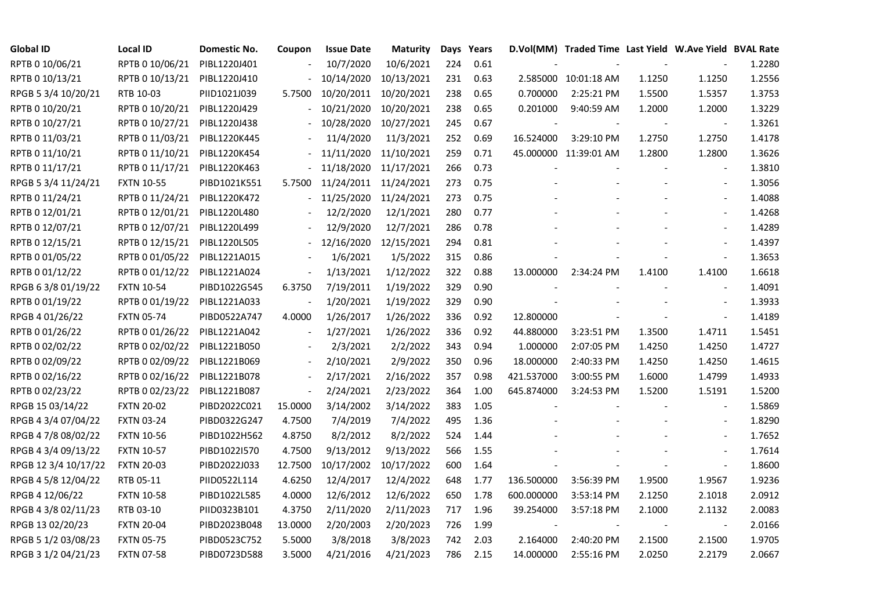| <b>Global ID</b>     | <b>Local ID</b>   | Domestic No. | Coupon                   | <b>Issue Date</b>     | <b>Maturity</b> |     | Days Years |            | D.Vol(MM) Traded Time Last Yield W.Ave Yield BVAL Rate |        |                          |        |
|----------------------|-------------------|--------------|--------------------------|-----------------------|-----------------|-----|------------|------------|--------------------------------------------------------|--------|--------------------------|--------|
| RPTB 0 10/06/21      | RPTB 0 10/06/21   | PIBL1220J401 |                          | 10/7/2020             | 10/6/2021       | 224 | 0.61       |            |                                                        |        |                          | 1.2280 |
| RPTB 0 10/13/21      | RPTB 0 10/13/21   | PIBL1220J410 |                          | 10/14/2020            | 10/13/2021      | 231 | 0.63       |            | 2.585000 10:01:18 AM                                   | 1.1250 | 1.1250                   | 1.2556 |
| RPGB 5 3/4 10/20/21  | RTB 10-03         | PIID1021J039 | 5.7500                   | 10/20/2011 10/20/2021 |                 | 238 | 0.65       | 0.700000   | 2:25:21 PM                                             | 1.5500 | 1.5357                   | 1.3753 |
| RPTB 0 10/20/21      | RPTB 0 10/20/21   | PIBL1220J429 |                          | 10/21/2020            | 10/20/2021      | 238 | 0.65       | 0.201000   | 9:40:59 AM                                             | 1.2000 | 1.2000                   | 1.3229 |
| RPTB 0 10/27/21      | RPTB 0 10/27/21   | PIBL1220J438 |                          | 10/28/2020            | 10/27/2021      | 245 | 0.67       |            |                                                        |        |                          | 1.3261 |
| RPTB 0 11/03/21      | RPTB 0 11/03/21   | PIBL1220K445 |                          | 11/4/2020             | 11/3/2021       | 252 | 0.69       | 16.524000  | 3:29:10 PM                                             | 1.2750 | 1.2750                   | 1.4178 |
| RPTB 0 11/10/21      | RPTB 0 11/10/21   | PIBL1220K454 |                          | 11/11/2020            | 11/10/2021      | 259 | 0.71       |            | 45.000000 11:39:01 AM                                  | 1.2800 | 1.2800                   | 1.3626 |
| RPTB 0 11/17/21      | RPTB 0 11/17/21   | PIBL1220K463 |                          | 11/18/2020            | 11/17/2021      | 266 | 0.73       |            |                                                        |        |                          | 1.3810 |
| RPGB 5 3/4 11/24/21  | <b>FXTN 10-55</b> | PIBD1021K551 | 5.7500                   | 11/24/2011 11/24/2021 |                 | 273 | 0.75       |            |                                                        |        |                          | 1.3056 |
| RPTB 0 11/24/21      | RPTB 0 11/24/21   | PIBL1220K472 |                          | 11/25/2020            | 11/24/2021      | 273 | 0.75       |            |                                                        |        | $\overline{\phantom{a}}$ | 1.4088 |
| RPTB 0 12/01/21      | RPTB 0 12/01/21   | PIBL1220L480 |                          | 12/2/2020             | 12/1/2021       | 280 | 0.77       |            |                                                        |        | $\overline{\phantom{a}}$ | 1.4268 |
| RPTB 0 12/07/21      | RPTB 0 12/07/21   | PIBL1220L499 |                          | 12/9/2020             | 12/7/2021       | 286 | 0.78       |            |                                                        |        | $\blacksquare$           | 1.4289 |
| RPTB 0 12/15/21      | RPTB 0 12/15/21   | PIBL1220L505 |                          | 12/16/2020            | 12/15/2021      | 294 | 0.81       |            |                                                        |        |                          | 1.4397 |
| RPTB 0 01/05/22      | RPTB 0 01/05/22   | PIBL1221A015 |                          | 1/6/2021              | 1/5/2022        | 315 | 0.86       |            |                                                        |        | $\blacksquare$           | 1.3653 |
| RPTB 0 01/12/22      | RPTB 0 01/12/22   | PIBL1221A024 |                          | 1/13/2021             | 1/12/2022       | 322 | 0.88       | 13.000000  | 2:34:24 PM                                             | 1.4100 | 1.4100                   | 1.6618 |
| RPGB 63/8 01/19/22   | <b>FXTN 10-54</b> | PIBD1022G545 | 6.3750                   | 7/19/2011             | 1/19/2022       | 329 | 0.90       |            |                                                        |        |                          | 1.4091 |
| RPTB 0 01/19/22      | RPTB 0 01/19/22   | PIBL1221A033 |                          | 1/20/2021             | 1/19/2022       | 329 | 0.90       |            |                                                        |        | $\overline{\phantom{a}}$ | 1.3933 |
| RPGB 4 01/26/22      | <b>FXTN 05-74</b> | PIBD0522A747 | 4.0000                   | 1/26/2017             | 1/26/2022       | 336 | 0.92       | 12.800000  |                                                        |        | $\overline{\phantom{a}}$ | 1.4189 |
| RPTB 0 01/26/22      | RPTB 0 01/26/22   | PIBL1221A042 | $\overline{a}$           | 1/27/2021             | 1/26/2022       | 336 | 0.92       | 44.880000  | 3:23:51 PM                                             | 1.3500 | 1.4711                   | 1.5451 |
| RPTB 0 02/02/22      | RPTB 0 02/02/22   | PIBL1221B050 |                          | 2/3/2021              | 2/2/2022        | 343 | 0.94       | 1.000000   | 2:07:05 PM                                             | 1.4250 | 1.4250                   | 1.4727 |
| RPTB 0 02/09/22      | RPTB 0 02/09/22   | PIBL1221B069 | $\overline{\phantom{a}}$ | 2/10/2021             | 2/9/2022        | 350 | 0.96       | 18.000000  | 2:40:33 PM                                             | 1.4250 | 1.4250                   | 1.4615 |
| RPTB 0 02/16/22      | RPTB 0 02/16/22   | PIBL1221B078 |                          | 2/17/2021             | 2/16/2022       | 357 | 0.98       | 421.537000 | 3:00:55 PM                                             | 1.6000 | 1.4799                   | 1.4933 |
| RPTB 0 02/23/22      | RPTB 0 02/23/22   | PIBL1221B087 |                          | 2/24/2021             | 2/23/2022       | 364 | 1.00       | 645.874000 | 3:24:53 PM                                             | 1.5200 | 1.5191                   | 1.5200 |
| RPGB 15 03/14/22     | <b>FXTN 20-02</b> | PIBD2022C021 | 15.0000                  | 3/14/2002             | 3/14/2022       | 383 | 1.05       |            |                                                        |        |                          | 1.5869 |
| RPGB 4 3/4 07/04/22  | <b>FXTN 03-24</b> | PIBD0322G247 | 4.7500                   | 7/4/2019              | 7/4/2022        | 495 | 1.36       |            |                                                        |        | $\overline{\phantom{a}}$ | 1.8290 |
| RPGB 4 7/8 08/02/22  | <b>FXTN 10-56</b> | PIBD1022H562 | 4.8750                   | 8/2/2012              | 8/2/2022        | 524 | 1.44       |            |                                                        |        | $\overline{\phantom{a}}$ | 1.7652 |
| RPGB 4 3/4 09/13/22  | <b>FXTN 10-57</b> | PIBD1022I570 | 4.7500                   | 9/13/2012             | 9/13/2022       | 566 | 1.55       |            |                                                        |        | $\blacksquare$           | 1.7614 |
| RPGB 12 3/4 10/17/22 | <b>FXTN 20-03</b> | PIBD2022J033 | 12.7500                  | 10/17/2002 10/17/2022 |                 | 600 | 1.64       |            |                                                        |        | $\blacksquare$           | 1.8600 |
| RPGB 4 5/8 12/04/22  | RTB 05-11         | PIID0522L114 | 4.6250                   | 12/4/2017             | 12/4/2022       | 648 | 1.77       | 136.500000 | 3:56:39 PM                                             | 1.9500 | 1.9567                   | 1.9236 |
| RPGB 4 12/06/22      | <b>FXTN 10-58</b> | PIBD1022L585 | 4.0000                   | 12/6/2012             | 12/6/2022       | 650 | 1.78       | 600.000000 | 3:53:14 PM                                             | 2.1250 | 2.1018                   | 2.0912 |
| RPGB 4 3/8 02/11/23  | RTB 03-10         | PIID0323B101 | 4.3750                   | 2/11/2020             | 2/11/2023       | 717 | 1.96       | 39.254000  | 3:57:18 PM                                             | 2.1000 | 2.1132                   | 2.0083 |
| RPGB 13 02/20/23     | <b>FXTN 20-04</b> | PIBD2023B048 | 13.0000                  | 2/20/2003             | 2/20/2023       | 726 | 1.99       |            |                                                        |        |                          | 2.0166 |
| RPGB 5 1/2 03/08/23  | <b>FXTN 05-75</b> | PIBD0523C752 | 5.5000                   | 3/8/2018              | 3/8/2023        | 742 | 2.03       | 2.164000   | 2:40:20 PM                                             | 2.1500 | 2.1500                   | 1.9705 |
| RPGB 3 1/2 04/21/23  | <b>FXTN 07-58</b> | PIBD0723D588 | 3.5000                   | 4/21/2016             | 4/21/2023       | 786 | 2.15       | 14.000000  | 2:55:16 PM                                             | 2.0250 | 2.2179                   | 2.0667 |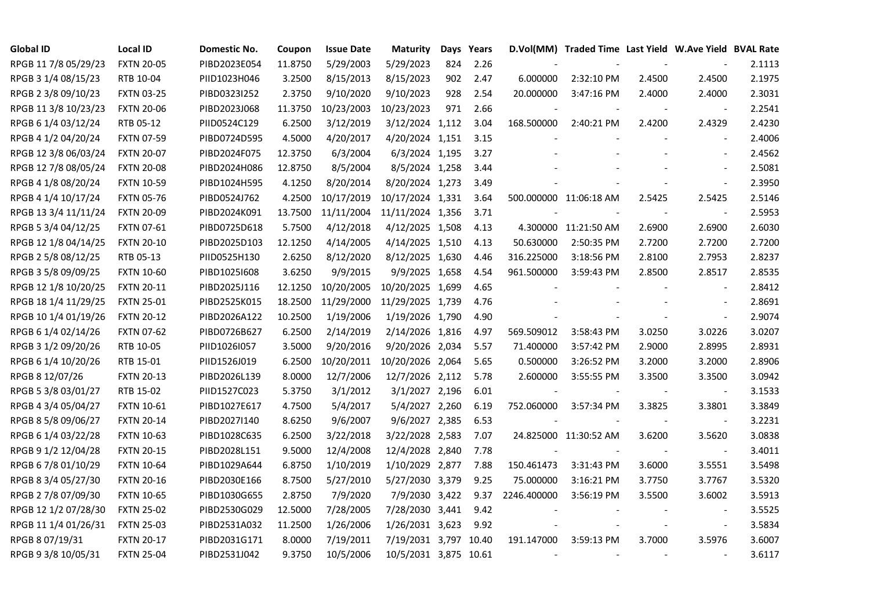| <b>Global ID</b>     | <b>Local ID</b>   | Domestic No. | Coupon  | <b>Issue Date</b> | <b>Maturity</b>       |     | Days Years |                          | D.Vol(MM) Traded Time Last Yield W.Ave Yield BVAL Rate |        |                          |        |
|----------------------|-------------------|--------------|---------|-------------------|-----------------------|-----|------------|--------------------------|--------------------------------------------------------|--------|--------------------------|--------|
| RPGB 11 7/8 05/29/23 | <b>FXTN 20-05</b> | PIBD2023E054 | 11.8750 | 5/29/2003         | 5/29/2023             | 824 | 2.26       |                          |                                                        |        |                          | 2.1113 |
| RPGB 3 1/4 08/15/23  | RTB 10-04         | PIID1023H046 | 3.2500  | 8/15/2013         | 8/15/2023             | 902 | 2.47       | 6.000000                 | 2:32:10 PM                                             | 2.4500 | 2.4500                   | 2.1975 |
| RPGB 2 3/8 09/10/23  | <b>FXTN 03-25</b> | PIBD0323I252 | 2.3750  | 9/10/2020         | 9/10/2023             | 928 | 2.54       | 20.000000                | 3:47:16 PM                                             | 2.4000 | 2.4000                   | 2.3031 |
| RPGB 11 3/8 10/23/23 | <b>FXTN 20-06</b> | PIBD2023J068 | 11.3750 | 10/23/2003        | 10/23/2023            | 971 | 2.66       |                          |                                                        |        | $\overline{\phantom{a}}$ | 2.2541 |
| RPGB 6 1/4 03/12/24  | RTB 05-12         | PIID0524C129 | 6.2500  | 3/12/2019         | 3/12/2024 1,112       |     | 3.04       | 168.500000               | 2:40:21 PM                                             | 2.4200 | 2.4329                   | 2.4230 |
| RPGB 4 1/2 04/20/24  | <b>FXTN 07-59</b> | PIBD0724D595 | 4.5000  | 4/20/2017         | 4/20/2024 1,151       |     | 3.15       |                          |                                                        |        | $\blacksquare$           | 2.4006 |
| RPGB 12 3/8 06/03/24 | <b>FXTN 20-07</b> | PIBD2024F075 | 12.3750 | 6/3/2004          | 6/3/2024 1,195        |     | 3.27       |                          |                                                        |        | $\blacksquare$           | 2.4562 |
| RPGB 12 7/8 08/05/24 | <b>FXTN 20-08</b> | PIBD2024H086 | 12.8750 | 8/5/2004          | 8/5/2024 1,258        |     | 3.44       |                          |                                                        |        | $\overline{a}$           | 2.5081 |
| RPGB 4 1/8 08/20/24  | <b>FXTN 10-59</b> | PIBD1024H595 | 4.1250  | 8/20/2014         | 8/20/2024 1,273       |     | 3.49       |                          |                                                        |        | $\sim$                   | 2.3950 |
| RPGB 4 1/4 10/17/24  | <b>FXTN 05-76</b> | PIBD0524J762 | 4.2500  | 10/17/2019        | 10/17/2024 1,331      |     | 3.64       |                          | 500.000000 11:06:18 AM                                 | 2.5425 | 2.5425                   | 2.5146 |
| RPGB 13 3/4 11/11/24 | <b>FXTN 20-09</b> | PIBD2024K091 | 13.7500 | 11/11/2004        | 11/11/2024 1,356      |     | 3.71       |                          |                                                        | $\sim$ | $\blacksquare$           | 2.5953 |
| RPGB 5 3/4 04/12/25  | <b>FXTN 07-61</b> | PIBD0725D618 | 5.7500  | 4/12/2018         | 4/12/2025 1,508       |     | 4.13       |                          | 4.300000 11:21:50 AM                                   | 2.6900 | 2.6900                   | 2.6030 |
| RPGB 12 1/8 04/14/25 | <b>FXTN 20-10</b> | PIBD2025D103 | 12.1250 | 4/14/2005         | 4/14/2025 1,510       |     | 4.13       | 50.630000                | 2:50:35 PM                                             | 2.7200 | 2.7200                   | 2.7200 |
| RPGB 2 5/8 08/12/25  | RTB 05-13         | PIID0525H130 | 2.6250  | 8/12/2020         | 8/12/2025 1,630       |     | 4.46       | 316.225000               | 3:18:56 PM                                             | 2.8100 | 2.7953                   | 2.8237 |
| RPGB 3 5/8 09/09/25  | <b>FXTN 10-60</b> | PIBD10251608 | 3.6250  | 9/9/2015          | 9/9/2025 1,658        |     | 4.54       | 961.500000               | 3:59:43 PM                                             | 2.8500 | 2.8517                   | 2.8535 |
| RPGB 12 1/8 10/20/25 | <b>FXTN 20-11</b> | PIBD2025J116 | 12.1250 | 10/20/2005        | 10/20/2025 1,699      |     | 4.65       |                          |                                                        |        | $\sim$                   | 2.8412 |
| RPGB 18 1/4 11/29/25 | <b>FXTN 25-01</b> | PIBD2525K015 | 18.2500 | 11/29/2000        | 11/29/2025 1,739      |     | 4.76       |                          |                                                        |        | $\overline{\phantom{a}}$ | 2.8691 |
| RPGB 10 1/4 01/19/26 | <b>FXTN 20-12</b> | PIBD2026A122 | 10.2500 | 1/19/2006         | 1/19/2026 1,790       |     | 4.90       |                          |                                                        |        | $\mathbf{r}$             | 2.9074 |
| RPGB 6 1/4 02/14/26  | <b>FXTN 07-62</b> | PIBD0726B627 | 6.2500  | 2/14/2019         | 2/14/2026 1,816       |     | 4.97       | 569.509012               | 3:58:43 PM                                             | 3.0250 | 3.0226                   | 3.0207 |
| RPGB 3 1/2 09/20/26  | RTB 10-05         | PIID1026I057 | 3.5000  | 9/20/2016         | 9/20/2026 2,034       |     | 5.57       | 71.400000                | 3:57:42 PM                                             | 2.9000 | 2.8995                   | 2.8931 |
| RPGB 6 1/4 10/20/26  | RTB 15-01         | PIID1526J019 | 6.2500  | 10/20/2011        | 10/20/2026 2,064      |     | 5.65       | 0.500000                 | 3:26:52 PM                                             | 3.2000 | 3.2000                   | 2.8906 |
| RPGB 8 12/07/26      | <b>FXTN 20-13</b> | PIBD2026L139 | 8.0000  | 12/7/2006         | 12/7/2026 2,112       |     | 5.78       | 2.600000                 | 3:55:55 PM                                             | 3.3500 | 3.3500                   | 3.0942 |
| RPGB 5 3/8 03/01/27  | RTB 15-02         | PIID1527C023 | 5.3750  | 3/1/2012          | 3/1/2027 2,196        |     | 6.01       |                          |                                                        |        | $\overline{\phantom{a}}$ | 3.1533 |
| RPGB 4 3/4 05/04/27  | <b>FXTN 10-61</b> | PIBD1027E617 | 4.7500  | 5/4/2017          | 5/4/2027 2,260        |     | 6.19       | 752.060000               | 3:57:34 PM                                             | 3.3825 | 3.3801                   | 3.3849 |
| RPGB 8 5/8 09/06/27  | <b>FXTN 20-14</b> | PIBD2027I140 | 8.6250  | 9/6/2007          | 9/6/2027 2,385        |     | 6.53       |                          |                                                        |        | $\blacksquare$           | 3.2231 |
| RPGB 6 1/4 03/22/28  | <b>FXTN 10-63</b> | PIBD1028C635 | 6.2500  | 3/22/2018         | 3/22/2028 2,583       |     | 7.07       |                          | 24.825000 11:30:52 AM                                  | 3.6200 | 3.5620                   | 3.0838 |
| RPGB 9 1/2 12/04/28  | <b>FXTN 20-15</b> | PIBD2028L151 | 9.5000  | 12/4/2008         | 12/4/2028 2,840       |     | 7.78       |                          |                                                        |        | $\blacksquare$           | 3.4011 |
| RPGB 6 7/8 01/10/29  | <b>FXTN 10-64</b> | PIBD1029A644 | 6.8750  | 1/10/2019         | 1/10/2029 2,877       |     | 7.88       | 150.461473               | 3:31:43 PM                                             | 3.6000 | 3.5551                   | 3.5498 |
| RPGB 8 3/4 05/27/30  | <b>FXTN 20-16</b> | PIBD2030E166 | 8.7500  | 5/27/2010         | 5/27/2030 3,379       |     | 9.25       | 75.000000                | 3:16:21 PM                                             | 3.7750 | 3.7767                   | 3.5320 |
| RPGB 2 7/8 07/09/30  | <b>FXTN 10-65</b> | PIBD1030G655 | 2.8750  | 7/9/2020          | 7/9/2030 3,422        |     | 9.37       | 2246.400000              | 3:56:19 PM                                             | 3.5500 | 3.6002                   | 3.5913 |
| RPGB 12 1/2 07/28/30 | <b>FXTN 25-02</b> | PIBD2530G029 | 12.5000 | 7/28/2005         | 7/28/2030 3,441       |     | 9.42       |                          |                                                        |        | $\overline{\phantom{a}}$ | 3.5525 |
| RPGB 11 1/4 01/26/31 | <b>FXTN 25-03</b> | PIBD2531A032 | 11.2500 | 1/26/2006         | 1/26/2031 3,623       |     | 9.92       |                          |                                                        |        | $\overline{\phantom{a}}$ | 3.5834 |
| RPGB 8 07/19/31      | <b>FXTN 20-17</b> | PIBD2031G171 | 8.0000  | 7/19/2011         | 7/19/2031 3,797 10.40 |     |            | 191.147000               | 3:59:13 PM                                             | 3.7000 | 3.5976                   | 3.6007 |
| RPGB 9 3/8 10/05/31  | <b>FXTN 25-04</b> | PIBD2531J042 | 9.3750  | 10/5/2006         | 10/5/2031 3,875 10.61 |     |            | $\overline{\phantom{a}}$ |                                                        |        | $\overline{\phantom{a}}$ | 3.6117 |